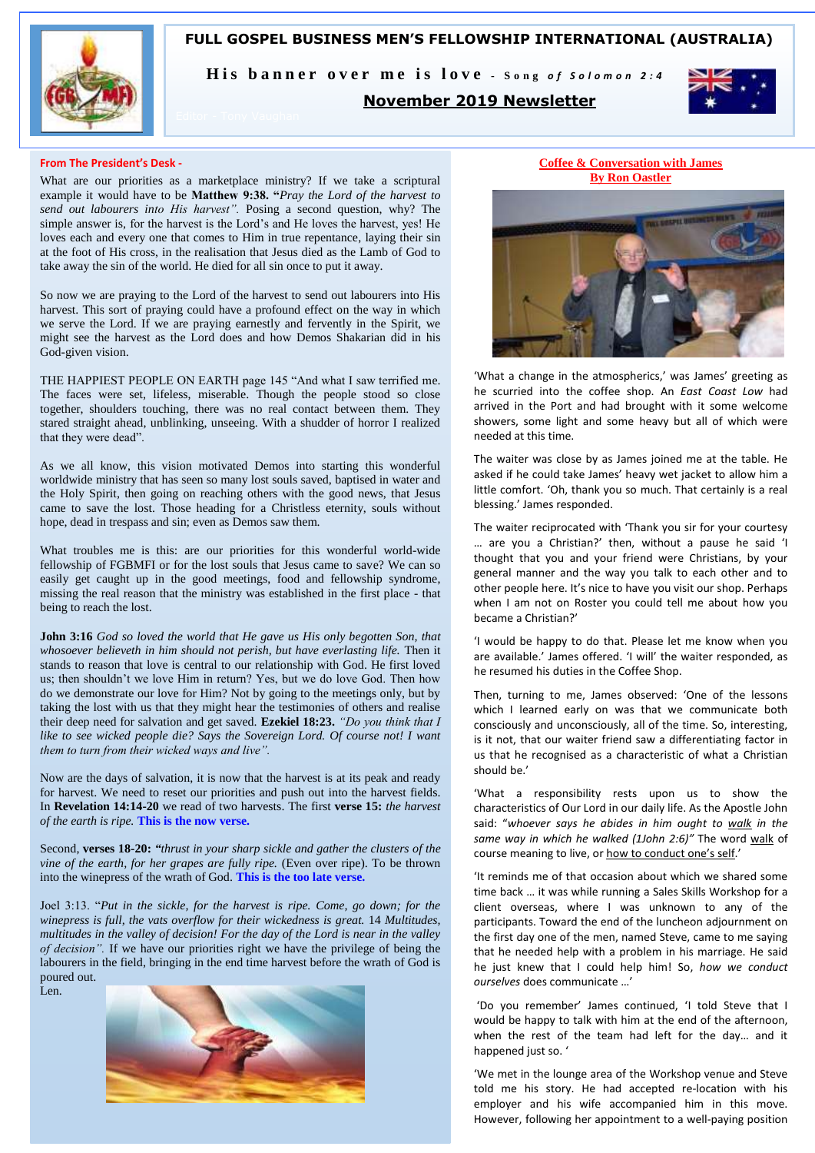

**FULL GOSPEL BUSINESS MEN'S FELLOWSHIP INTERNATIONAL (AUSTRALIA)**

His banner over me is love - Song of Solomon 2:4

# **November 2019 Newsletter**



#### **From The President's Desk -**

What are our priorities as a marketplace ministry? If we take a scriptural example it would have to be **Matthew 9:38. "***Pray the Lord of the harvest to send out labourers into His harvest".* Posing a second question, why? The simple answer is, for the harvest is the Lord's and He loves the harvest, yes! He loves each and every one that comes to Him in true repentance, laying their sin at the foot of His cross, in the realisation that Jesus died as the Lamb of God to take away the sin of the world. He died for all sin once to put it away.

So now we are praying to the Lord of the harvest to send out labourers into His harvest. This sort of praying could have a profound effect on the way in which we serve the Lord. If we are praying earnestly and fervently in the Spirit, we might see the harvest as the Lord does and how Demos Shakarian did in his God-given vision.

THE HAPPIEST PEOPLE ON EARTH page 145 "And what I saw terrified me. The faces were set, lifeless, miserable. Though the people stood so close together, shoulders touching, there was no real contact between them. They stared straight ahead, unblinking, unseeing. With a shudder of horror I realized that they were dead".

As we all know, this vision motivated Demos into starting this wonderful worldwide ministry that has seen so many lost souls saved, baptised in water and the Holy Spirit, then going on reaching others with the good news, that Jesus came to save the lost. Those heading for a Christless eternity, souls without hope, dead in trespass and sin; even as Demos saw them.

What troubles me is this: are our priorities for this wonderful world-wide fellowship of FGBMFI or for the lost souls that Jesus came to save? We can so easily get caught up in the good meetings, food and fellowship syndrome, missing the real reason that the ministry was established in the first place - that being to reach the lost.

**John 3:16** *God so loved the world that He gave us His only begotten Son, that whosoever believeth in him should not perish, but have everlasting life.* Then it stands to reason that love is central to our relationship with God. He first loved us; then shouldn't we love Him in return? Yes, but we do love God. Then how do we demonstrate our love for Him? Not by going to the meetings only, but by taking the lost with us that they might hear the testimonies of others and realise their deep need for salvation and get saved. **Ezekiel 18:23.** *"Do you think that I like to see wicked people die? Says the Sovereign Lord. Of course not! I want them to turn from their wicked ways and live".*

Now are the days of salvation, it is now that the harvest is at its peak and ready for harvest. We need to reset our priorities and push out into the harvest fields. In **Revelation 14:14-20** we read of two harvests. The first **verse 15:** *the harvest of the earth is ripe.* **This is the now verse.**

Second, **verses 18-20:** *"thrust in your sharp sickle and gather the clusters of the vine of the earth, for her grapes are fully ripe.* (Even over ripe). To be thrown into the winepress of the wrath of God. **This is the too late verse.**

Joel 3:13. "*Put in the sickle, for the harvest is ripe. Come, go down; for the winepress is full, the vats overflow for their wickedness is great.* 14 *Multitudes, multitudes in the valley of decision! For the day of the Lord is near in the valley of decision".* If we have our priorities right we have the privilege of being the labourers in the field, bringing in the end time harvest before the wrath of God is poured out.

Len.



**Coffee & Conversation with James By Ron Oastler**



'What a change in the atmospherics,' was James' greeting as he scurried into the coffee shop. An *East Coast Low* had arrived in the Port and had brought with it some welcome showers, some light and some heavy but all of which were needed at this time.

The waiter was close by as James joined me at the table. He asked if he could take James' heavy wet jacket to allow him a little comfort. 'Oh, thank you so much. That certainly is a real blessing.' James responded.

The waiter reciprocated with 'Thank you sir for your courtesy … are you a Christian?' then, without a pause he said 'I thought that you and your friend were Christians, by your general manner and the way you talk to each other and to other people here. It's nice to have you visit our shop. Perhaps when I am not on Roster you could tell me about how you became a Christian?'

'I would be happy to do that. Please let me know when you are available.' James offered. 'I will' the waiter responded, as he resumed his duties in the Coffee Shop.

Then, turning to me, James observed: 'One of the lessons which I learned early on was that we communicate both consciously and unconsciously, all of the time. So, interesting, is it not, that our waiter friend saw a differentiating factor in us that he recognised as a characteristic of what a Christian should be.'

'What a responsibility rests upon us to show the characteristics of Our Lord in our daily life. As the Apostle John said: "*whoever says he abides in him ought to walk in the same way in which he walked (1John 2:6)"* The word walk of course meaning to live, or how to conduct one's self.'

'It reminds me of that occasion about which we shared some time back … it was while running a Sales Skills Workshop for a client overseas, where I was unknown to any of the participants. Toward the end of the luncheon adjournment on the first day one of the men, named Steve, came to me saying that he needed help with a problem in his marriage. He said he just knew that I could help him! So, *how we conduct ourselves* does communicate …'

'Do you remember' James continued, 'I told Steve that I would be happy to talk with him at the end of the afternoon, when the rest of the team had left for the day… and it happened just so. '

'We met in the lounge area of the Workshop venue and Steve told me his story. He had accepted re-location with his employer and his wife accompanied him in this move. However, following her appointment to a well-paying position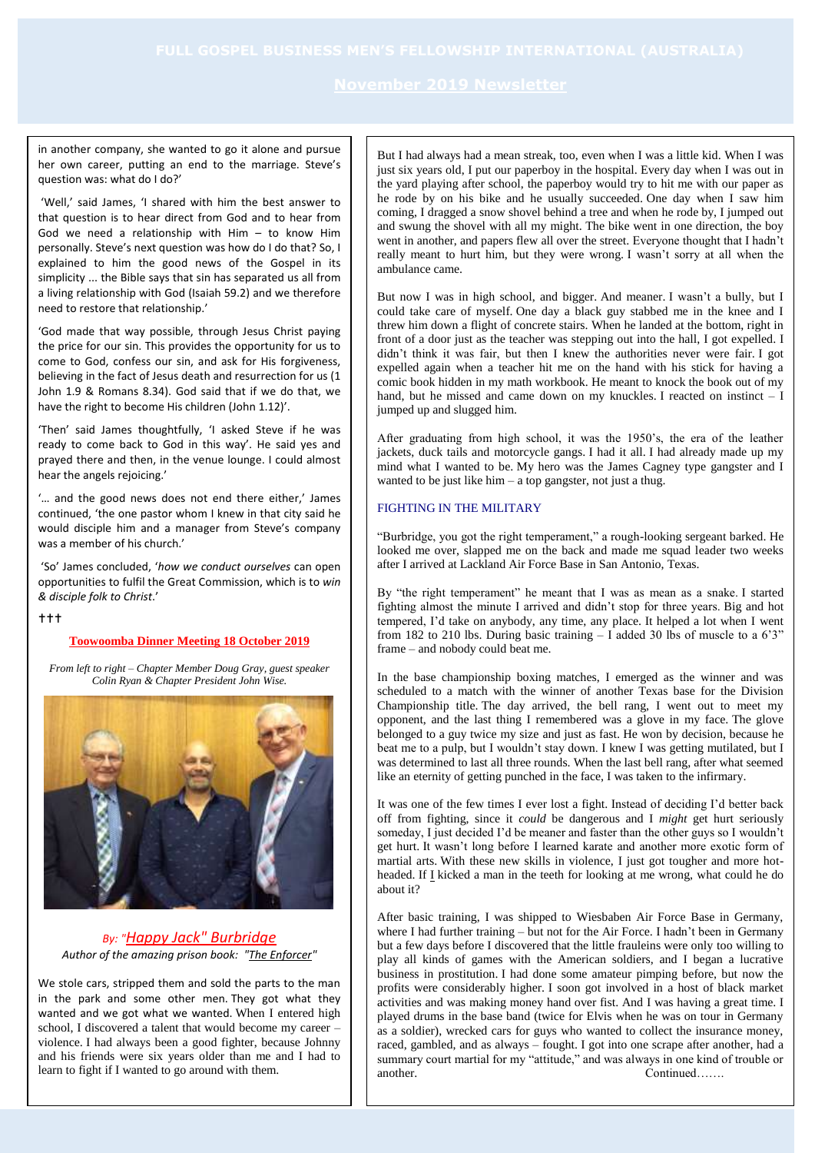in another company, she wanted to go it alone and pursue her own career, putting an end to the marriage. Steve's question was: what do I do?'

'Well,' said James, 'I shared with him the best answer to that question is to hear direct from God and to hear from God we need a relationship with Him – to know Him personally. Steve's next question was how do I do that? So, I explained to him the good news of the Gospel in its simplicity ... the Bible says that sin has separated us all from a living relationship with God (Isaiah 59.2) and we therefore need to restore that relationship.'

'God made that way possible, through Jesus Christ paying the price for our sin. This provides the opportunity for us to come to God, confess our sin, and ask for His forgiveness, believing in the fact of Jesus death and resurrection for us (1 John 1.9 & Romans 8.34). God said that if we do that, we have the right to become His children (John 1.12)'.

'Then' said James thoughtfully, 'I asked Steve if he was ready to come back to God in this way'. He said yes and prayed there and then, in the venue lounge. I could almost hear the angels rejoicing.'

'… and the good news does not end there either,' James continued, 'the one pastor whom I knew in that city said he would disciple him and a manager from Steve's company was a member of his church.'

'So' James concluded, '*how we conduct ourselves* can open opportunities to fulfil the Great Commission, which is to *win & disciple folk to Christ*.'

 $+++$ 

## **Toowoomba Dinner Meeting 18 October 2019**

*From left to right – Chapter Member Doug Gray, guest speaker Colin Ryan & Chapter President John Wise.*



# *By: "[Happy Jack" Burbridge](http://fromcrimetochrist.com/welcome.htm) Author of the amazing prison book: ["The Enforcer"](http://www.fromcrimetochrist.com/Enforcer.htm)*

We stole cars, stripped them and sold the parts to the man in the park and some other men. They got what they wanted and we got what we wanted. When I entered high school, I discovered a talent that would become my career – violence. I had always been a good fighter, because Johnny and his friends were six years older than me and I had to learn to fight if I wanted to go around with them.

But I had always had a mean streak, too, even when I was a little kid. When I was just six years old. I put our paperboy in the hospital. Every day when I was out in the yard playing after school, the paperboy would try to hit me with our paper as he rode by on his bike and he usually succeeded. One day when I saw him coming, I dragged a snow shovel behind a tree and when he rode by, I jumped out and swung the shovel with all my might. The bike went in one direction, the boy went in another, and papers flew all over the street. Everyone thought that I hadn't really meant to hurt him, but they were wrong. I wasn't sorry at all when the ambulance came.

But now I was in high school, and bigger. And meaner. I wasn't a bully, but I could take care of myself. One day a black guy stabbed me in the knee and I threw him down a flight of concrete stairs. When he landed at the bottom, right in front of a door just as the teacher was stepping out into the hall, I got expelled. I didn't think it was fair, but then I knew the authorities never were fair. I got expelled again when a teacher hit me on the hand with his stick for having a comic book hidden in my math workbook. He meant to knock the book out of my hand, but he missed and came down on my knuckles. I reacted on instinct - I jumped up and slugged him.

After graduating from high school, it was the 1950's, the era of the leather jackets, duck tails and motorcycle gangs. I had it all. I had already made up my mind what I wanted to be. My hero was the James Cagney type gangster and I wanted to be just like  $him - a top$  gangster, not just a thug.

### FIGHTING IN THE MILITARY

"Burbridge, you got the right temperament," a rough-looking sergeant barked. He looked me over, slapped me on the back and made me squad leader two weeks after I arrived at Lackland Air Force Base in San Antonio, Texas.

By "the right temperament" he meant that I was as mean as a snake. I started fighting almost the minute I arrived and didn't stop for three years. Big and hot tempered, I'd take on anybody, any time, any place. It helped a lot when I went from 182 to 210 lbs. During basic training  $-$  I added 30 lbs of muscle to a 6'3" frame – and nobody could beat me.

In the base championship boxing matches, I emerged as the winner and was scheduled to a match with the winner of another Texas base for the Division Championship title. The day arrived, the bell rang, I went out to meet my opponent, and the last thing I remembered was a glove in my face. The glove belonged to a guy twice my size and just as fast. He won by decision, because he beat me to a pulp, but I wouldn't stay down. I knew I was getting mutilated, but I was determined to last all three rounds. When the last bell rang, after what seemed like an eternity of getting punched in the face, I was taken to the infirmary.

It was one of the few times I ever lost a fight. Instead of deciding I'd better back off from fighting, since it *could* be dangerous and I *might* get hurt seriously someday, I just decided I'd be meaner and faster than the other guys so I wouldn't get hurt. It wasn't long before I learned karate and another more exotic form of martial arts. With these new skills in violence, I just got tougher and more hotheaded. If I kicked a man in the teeth for looking at me wrong, what could he do about it?

After basic training, I was shipped to Wiesbaben Air Force Base in Germany, where I had further training – but not for the Air Force. I hadn't been in Germany but a few days before I discovered that the little frauleins were only too willing to play all kinds of games with the American soldiers, and I began a lucrative business in prostitution. I had done some amateur pimping before, but now the profits were considerably higher. I soon got involved in a host of black market activities and was making money hand over fist. And I was having a great time. I played drums in the base band (twice for Elvis when he was on tour in Germany as a soldier), wrecked cars for guys who wanted to collect the insurance money, raced, gambled, and as always – fought. I got into one scrape after another, had a summary court martial for my "attitude," and was always in one kind of trouble or another. Continued…….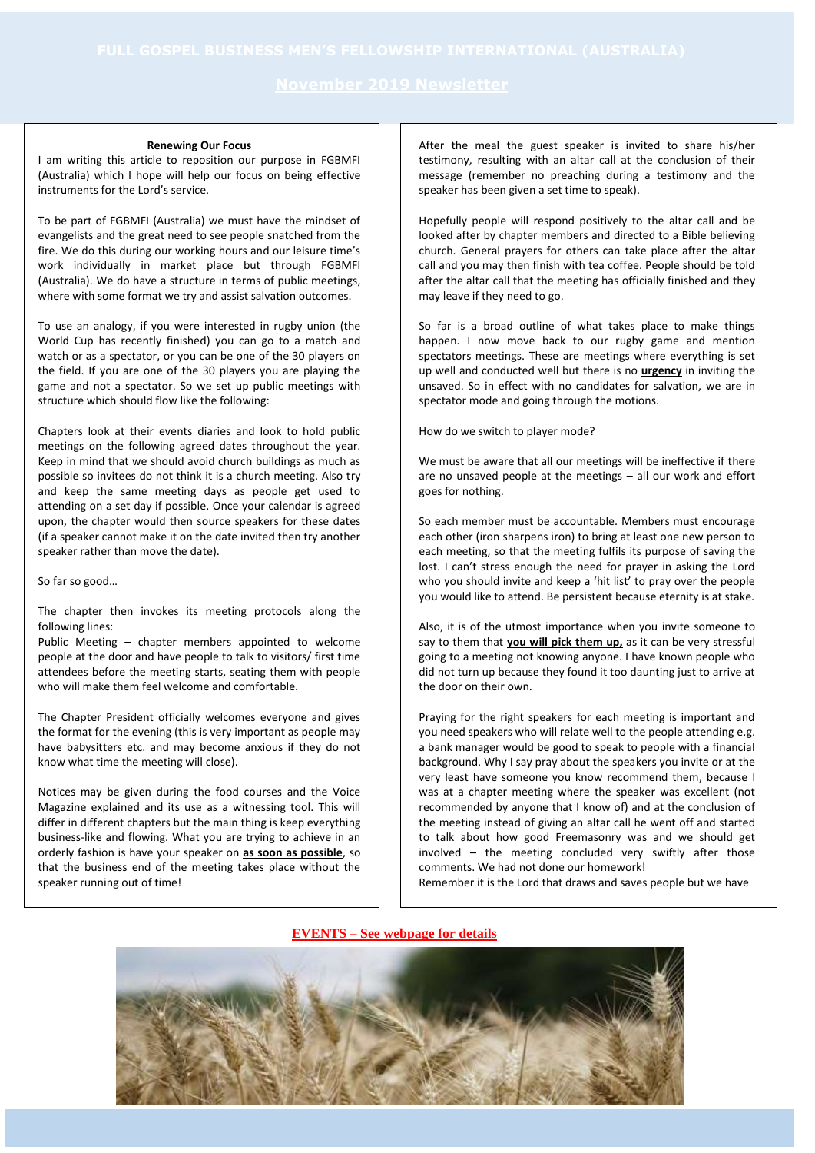### **Renewing Our Focus**

I am writing this article to reposition our purpose in FGBMFI (Australia) which I hope will help our focus on being effective instruments for the Lord's service.

To be part of FGBMFI (Australia) we must have the mindset of evangelists and the great need to see people snatched from the fire. We do this during our working hours and our leisure time's work individually in market place but through FGBMFI (Australia). We do have a structure in terms of public meetings, where with some format we try and assist salvation outcomes.

To use an analogy, if you were interested in rugby union (the World Cup has recently finished) you can go to a match and watch or as a spectator, or you can be one of the 30 players on the field. If you are one of the 30 players you are playing the game and not a spectator. So we set up public meetings with structure which should flow like the following:

Chapters look at their events diaries and look to hold public meetings on the following agreed dates throughout the year. Keep in mind that we should avoid church buildings as much as possible so invitees do not think it is a church meeting. Also try and keep the same meeting days as people get used to attending on a set day if possible. Once your calendar is agreed upon, the chapter would then source speakers for these dates (if a speaker cannot make it on the date invited then try another speaker rather than move the date).

So far so good…

The chapter then invokes its meeting protocols along the following lines:

Public Meeting – chapter members appointed to welcome people at the door and have people to talk to visitors/ first time attendees before the meeting starts, seating them with people who will make them feel welcome and comfortable.

The Chapter President officially welcomes everyone and gives the format for the evening (this is very important as people may have babysitters etc. and may become anxious if they do not know what time the meeting will close).

Notices may be given during the food courses and the Voice Magazine explained and its use as a witnessing tool. This will differ in different chapters but the main thing is keep everything business-like and flowing. What you are trying to achieve in an orderly fashion is have your speaker on **as soon as possible**, so that the business end of the meeting takes place without the speaker running out of time!

After the meal the guest speaker is invited to share his/her testimony, resulting with an altar call at the conclusion of their message (remember no preaching during a testimony and the speaker has been given a set time to speak).

Hopefully people will respond positively to the altar call and be looked after by chapter members and directed to a Bible believing church. General prayers for others can take place after the altar call and you may then finish with tea coffee. People should be told after the altar call that the meeting has officially finished and they may leave if they need to go.

So far is a broad outline of what takes place to make things happen. I now move back to our rugby game and mention spectators meetings. These are meetings where everything is set up well and conducted well but there is no **urgency** in inviting the unsaved. So in effect with no candidates for salvation, we are in spectator mode and going through the motions.

How do we switch to player mode?

We must be aware that all our meetings will be ineffective if there are no unsaved people at the meetings – all our work and effort goes for nothing.

So each member must be accountable. Members must encourage each other (iron sharpens iron) to bring at least one new person to each meeting, so that the meeting fulfils its purpose of saving the lost. I can't stress enough the need for prayer in asking the Lord who you should invite and keep a 'hit list' to pray over the people you would like to attend. Be persistent because eternity is at stake.

Also, it is of the utmost importance when you invite someone to say to them that **you will pick them up,** as it can be very stressful going to a meeting not knowing anyone. I have known people who did not turn up because they found it too daunting just to arrive at the door on their own.

Praying for the right speakers for each meeting is important and you need speakers who will relate well to the people attending e.g. a bank manager would be good to speak to people with a financial background. Why I say pray about the speakers you invite or at the very least have someone you know recommend them, because I was at a chapter meeting where the speaker was excellent (not recommended by anyone that I know of) and at the conclusion of the meeting instead of giving an altar call he went off and started to talk about how good Freemasonry was and we should get involved – the meeting concluded very swiftly after those comments. We had not done our homework!

Remember it is the Lord that draws and saves people but we have

## **EVENTS – See webpage for details**